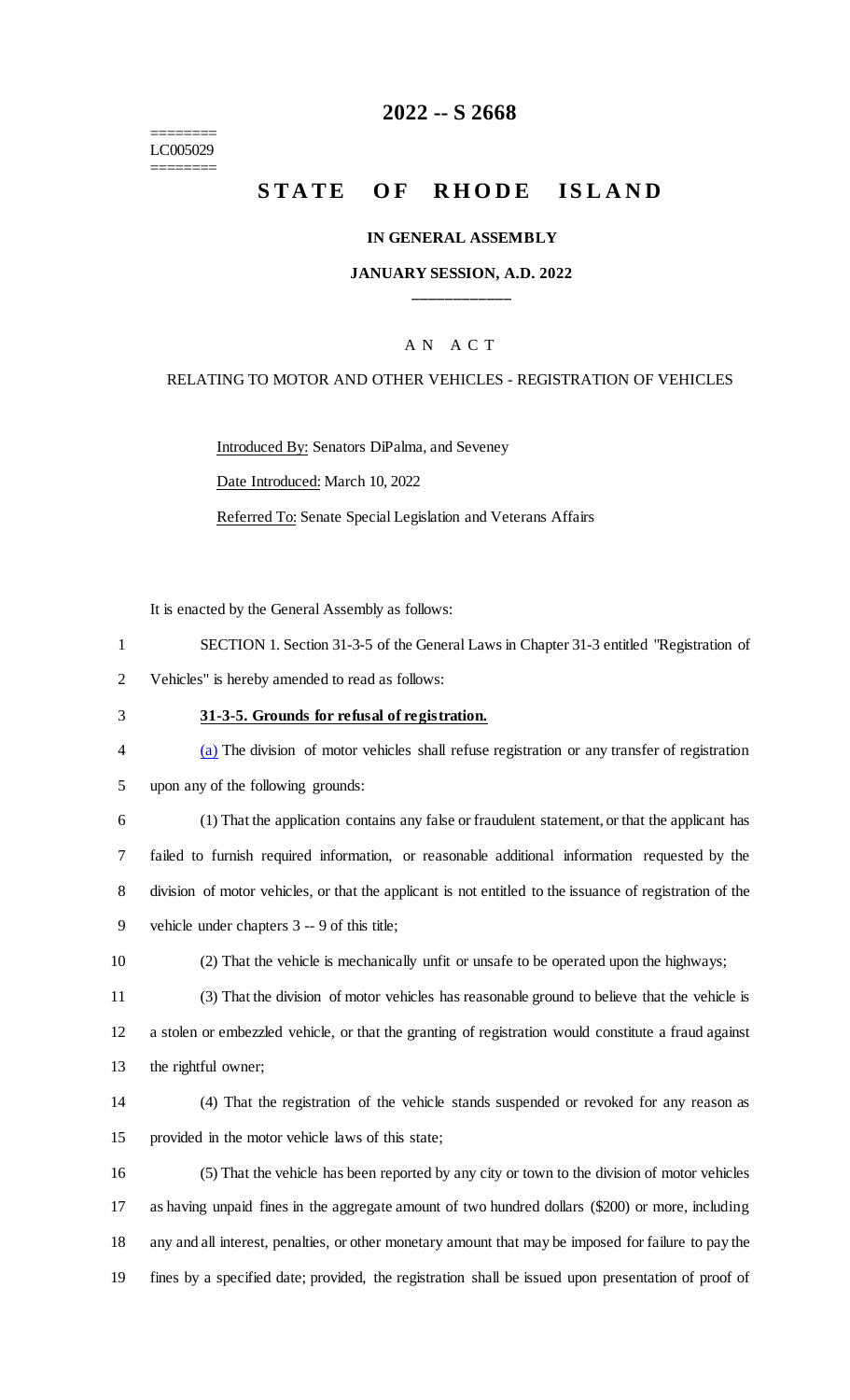======== LC005029 ========

## **2022 -- S 2668**

# **STATE OF RHODE ISLAND**

#### **IN GENERAL ASSEMBLY**

#### **JANUARY SESSION, A.D. 2022 \_\_\_\_\_\_\_\_\_\_\_\_**

### A N A C T

#### RELATING TO MOTOR AND OTHER VEHICLES - REGISTRATION OF VEHICLES

Introduced By: Senators DiPalma, and Seveney

Date Introduced: March 10, 2022

Referred To: Senate Special Legislation and Veterans Affairs

It is enacted by the General Assembly as follows:

| SECTION 1. Section 31-3-5 of the General Laws in Chapter 31-3 entitled "Registration of |
|-----------------------------------------------------------------------------------------|
| Vehicles" is hereby amended to read as follows:                                         |

### 3 **31-3-5. Grounds for refusal of registration.**

4 (a) The division of motor vehicles shall refuse registration or any transfer of registration 5 upon any of the following grounds:

 (1) That the application contains any false or fraudulent statement, or that the applicant has failed to furnish required information, or reasonable additional information requested by the division of motor vehicles, or that the applicant is not entitled to the issuance of registration of the vehicle under chapters 3 -- 9 of this title;

10 (2) That the vehicle is mechanically unfit or unsafe to be operated upon the highways;

11 (3) That the division of motor vehicles has reasonable ground to believe that the vehicle is 12 a stolen or embezzled vehicle, or that the granting of registration would constitute a fraud against 13 the rightful owner;

14 (4) That the registration of the vehicle stands suspended or revoked for any reason as 15 provided in the motor vehicle laws of this state;

 (5) That the vehicle has been reported by any city or town to the division of motor vehicles as having unpaid fines in the aggregate amount of two hundred dollars (\$200) or more, including any and all interest, penalties, or other monetary amount that may be imposed for failure to pay the fines by a specified date; provided, the registration shall be issued upon presentation of proof of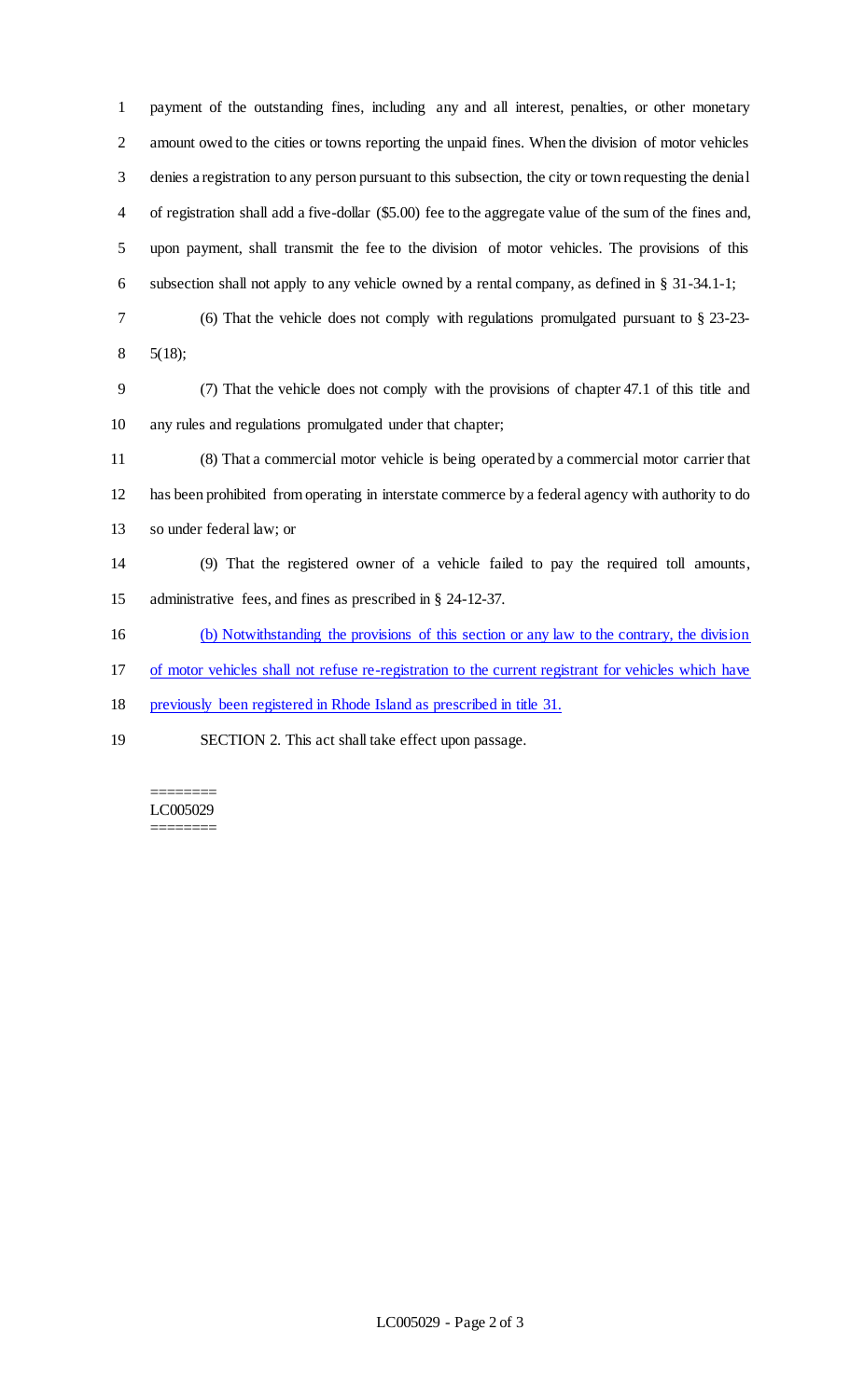payment of the outstanding fines, including any and all interest, penalties, or other monetary amount owed to the cities or towns reporting the unpaid fines. When the division of motor vehicles denies a registration to any person pursuant to this subsection, the city or town requesting the denial of registration shall add a five-dollar (\$5.00) fee to the aggregate value of the sum of the fines and, upon payment, shall transmit the fee to the division of motor vehicles. The provisions of this subsection shall not apply to any vehicle owned by a rental company, as defined in § 31-34.1-1;

- (6) That the vehicle does not comply with regulations promulgated pursuant to § 23-23-
- 5(18);

 (7) That the vehicle does not comply with the provisions of chapter 47.1 of this title and any rules and regulations promulgated under that chapter;

 (8) That a commercial motor vehicle is being operated by a commercial motor carrier that has been prohibited from operating in interstate commerce by a federal agency with authority to do so under federal law; or

 (9) That the registered owner of a vehicle failed to pay the required toll amounts, administrative fees, and fines as prescribed in § 24-12-37.

(b) Notwithstanding the provisions of this section or any law to the contrary, the division

of motor vehicles shall not refuse re-registration to the current registrant for vehicles which have

previously been registered in Rhode Island as prescribed in title 31.

SECTION 2. This act shall take effect upon passage.

======== LC005029 ========